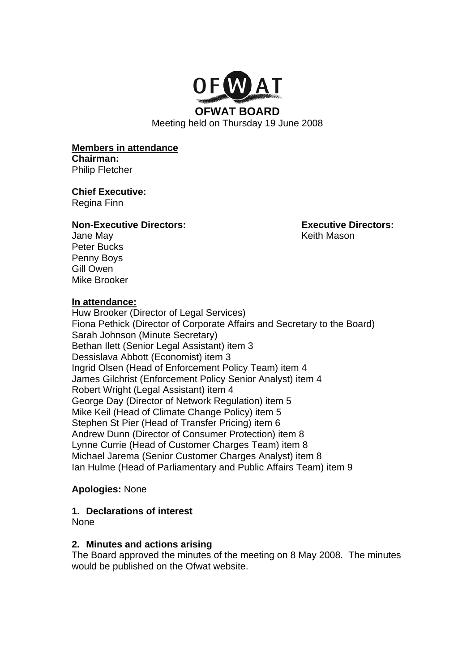

Meeting held on Thursday 19 June 2008

**Members in attendance Chairman:** 

Philip Fletcher

**Chief Executive:**  Regina Finn

#### **Non-Executive Directors: Executive Directors:**

Jane May **Solution Contract Contract Contract Contract Contract Contract Contract Contract Contract Contract Contract Contract Contract Contract Contract Contract Contract Contract Contract Contract Contract Contract Contr** 

Gill Owen Mike Brooker

Peter Bucks Penny Boys

#### **In attendance:**

Huw Brooker (Director of Legal Services) Fiona Pethick (Director of Corporate Affairs and Secretary to the Board) Sarah Johnson (Minute Secretary) Bethan Ilett (Senior Legal Assistant) item 3 Dessislava Abbott (Economist) item 3 Ingrid Olsen (Head of Enforcement Policy Team) item 4 James Gilchrist (Enforcement Policy Senior Analyst) item 4 Robert Wright (Legal Assistant) item 4 George Day (Director of Network Regulation) item 5 Mike Keil (Head of Climate Change Policy) item 5 Stephen St Pier (Head of Transfer Pricing) item 6 Andrew Dunn (Director of Consumer Protection) item 8 Lynne Currie (Head of Customer Charges Team) item 8 Michael Jarema (Senior Customer Charges Analyst) item 8 Ian Hulme (Head of Parliamentary and Public Affairs Team) item 9

#### **Apologies:** None

#### **1. Declarations of interest**

None

#### **2. Minutes and actions arising**

The Board approved the minutes of the meeting on 8 May 2008. The minutes would be published on the Ofwat website.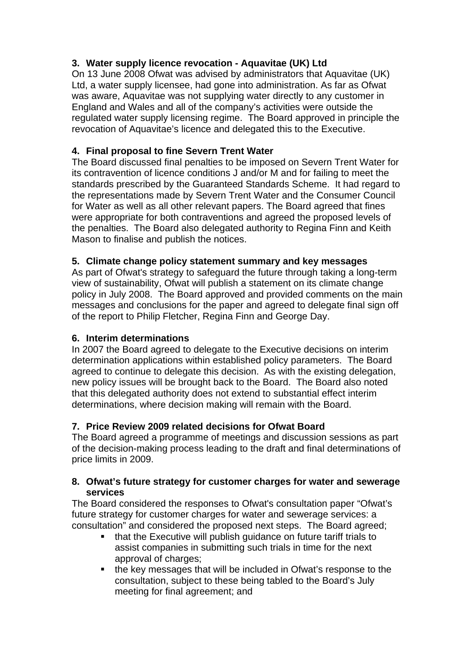# **3. Water supply licence revocation - Aquavitae (UK) Ltd**

On 13 June 2008 Ofwat was advised by administrators that Aquavitae (UK) Ltd, a water supply licensee, had gone into administration. As far as Ofwat was aware, Aquavitae was not supplying water directly to any customer in England and Wales and all of the company's activities were outside the regulated water supply licensing regime. The Board approved in principle the revocation of Aquavitae's licence and delegated this to the Executive.

# **4. Final proposal to fine Severn Trent Water**

The Board discussed final penalties to be imposed on Severn Trent Water for its contravention of licence conditions J and/or M and for failing to meet the standards prescribed by the Guaranteed Standards Scheme. It had regard to the representations made by Severn Trent Water and the Consumer Council for Water as well as all other relevant papers. The Board agreed that fines were appropriate for both contraventions and agreed the proposed levels of the penalties. The Board also delegated authority to Regina Finn and Keith Mason to finalise and publish the notices.

# **5. Climate change policy statement summary and key messages**

As part of Ofwat's strategy to safeguard the future through taking a long-term view of sustainability, Ofwat will publish a statement on its climate change policy in July 2008. The Board approved and provided comments on the main messages and conclusions for the paper and agreed to delegate final sign off of the report to Philip Fletcher, Regina Finn and George Day.

# **6. Interim determinations**

In 2007 the Board agreed to delegate to the Executive decisions on interim determination applications within established policy parameters. The Board agreed to continue to delegate this decision. As with the existing delegation, new policy issues will be brought back to the Board. The Board also noted that this delegated authority does not extend to substantial effect interim determinations, where decision making will remain with the Board.

# **7. Price Review 2009 related decisions for Ofwat Board**

The Board agreed a programme of meetings and discussion sessions as part of the decision-making process leading to the draft and final determinations of price limits in 2009.

### **8. Ofwat's future strategy for customer charges for water and sewerage services**

The Board considered the responses to Ofwat's consultation paper "Ofwat's future strategy for customer charges for water and sewerage services: a consultation" and considered the proposed next steps. The Board agreed;

- that the Executive will publish guidance on future tariff trials to assist companies in submitting such trials in time for the next approval of charges;
- the key messages that will be included in Ofwat's response to the consultation, subject to these being tabled to the Board's July meeting for final agreement; and